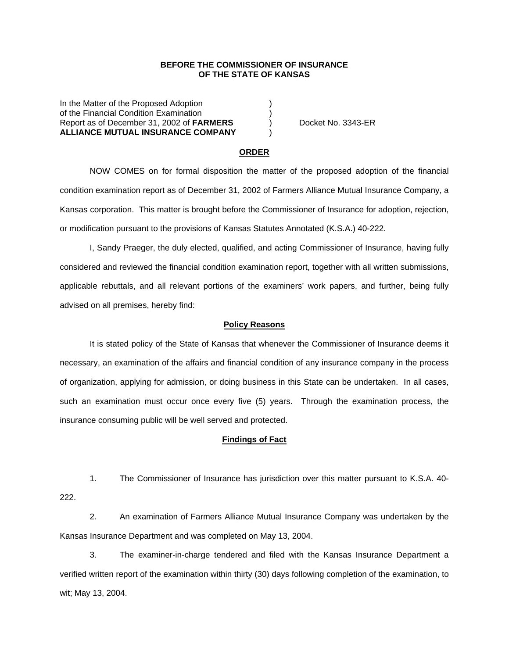### **BEFORE THE COMMISSIONER OF INSURANCE OF THE STATE OF KANSAS**

In the Matter of the Proposed Adoption of the Financial Condition Examination ) Report as of December 31, 2002 of **FARMERS** ) Docket No. 3343-ER **ALLIANCE MUTUAL INSURANCE COMPANY** )

#### **ORDER**

 NOW COMES on for formal disposition the matter of the proposed adoption of the financial condition examination report as of December 31, 2002 of Farmers Alliance Mutual Insurance Company, a Kansas corporation. This matter is brought before the Commissioner of Insurance for adoption, rejection, or modification pursuant to the provisions of Kansas Statutes Annotated (K.S.A.) 40-222.

 I, Sandy Praeger, the duly elected, qualified, and acting Commissioner of Insurance, having fully considered and reviewed the financial condition examination report, together with all written submissions, applicable rebuttals, and all relevant portions of the examiners' work papers, and further, being fully advised on all premises, hereby find:

## **Policy Reasons**

 It is stated policy of the State of Kansas that whenever the Commissioner of Insurance deems it necessary, an examination of the affairs and financial condition of any insurance company in the process of organization, applying for admission, or doing business in this State can be undertaken. In all cases, such an examination must occur once every five (5) years. Through the examination process, the insurance consuming public will be well served and protected.

#### **Findings of Fact**

 1. The Commissioner of Insurance has jurisdiction over this matter pursuant to K.S.A. 40- 222.

 2. An examination of Farmers Alliance Mutual Insurance Company was undertaken by the Kansas Insurance Department and was completed on May 13, 2004.

 3. The examiner-in-charge tendered and filed with the Kansas Insurance Department a verified written report of the examination within thirty (30) days following completion of the examination, to wit; May 13, 2004.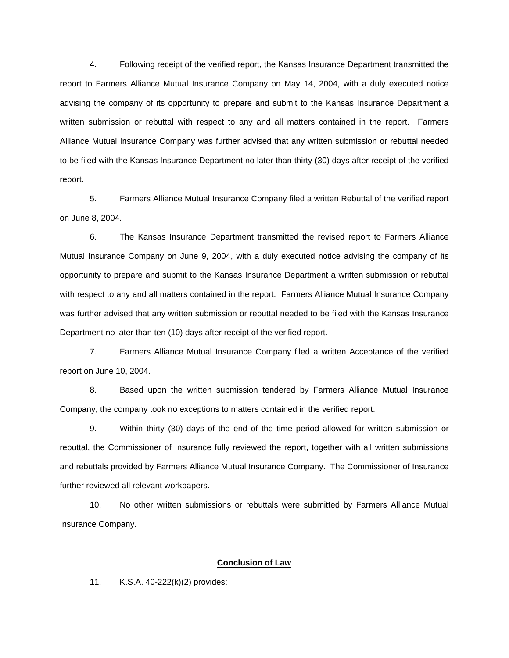4. Following receipt of the verified report, the Kansas Insurance Department transmitted the report to Farmers Alliance Mutual Insurance Company on May 14, 2004, with a duly executed notice advising the company of its opportunity to prepare and submit to the Kansas Insurance Department a written submission or rebuttal with respect to any and all matters contained in the report. Farmers Alliance Mutual Insurance Company was further advised that any written submission or rebuttal needed to be filed with the Kansas Insurance Department no later than thirty (30) days after receipt of the verified report.

 5. Farmers Alliance Mutual Insurance Company filed a written Rebuttal of the verified report on June 8, 2004.

 6. The Kansas Insurance Department transmitted the revised report to Farmers Alliance Mutual Insurance Company on June 9, 2004, with a duly executed notice advising the company of its opportunity to prepare and submit to the Kansas Insurance Department a written submission or rebuttal with respect to any and all matters contained in the report. Farmers Alliance Mutual Insurance Company was further advised that any written submission or rebuttal needed to be filed with the Kansas Insurance Department no later than ten (10) days after receipt of the verified report.

7. Farmers Alliance Mutual Insurance Company filed a written Acceptance of the verified report on June 10, 2004.

8. Based upon the written submission tendered by Farmers Alliance Mutual Insurance Company, the company took no exceptions to matters contained in the verified report.

 9. Within thirty (30) days of the end of the time period allowed for written submission or rebuttal, the Commissioner of Insurance fully reviewed the report, together with all written submissions and rebuttals provided by Farmers Alliance Mutual Insurance Company. The Commissioner of Insurance further reviewed all relevant workpapers.

 10. No other written submissions or rebuttals were submitted by Farmers Alliance Mutual Insurance Company.

## **Conclusion of Law**

11. K.S.A. 40-222(k)(2) provides: